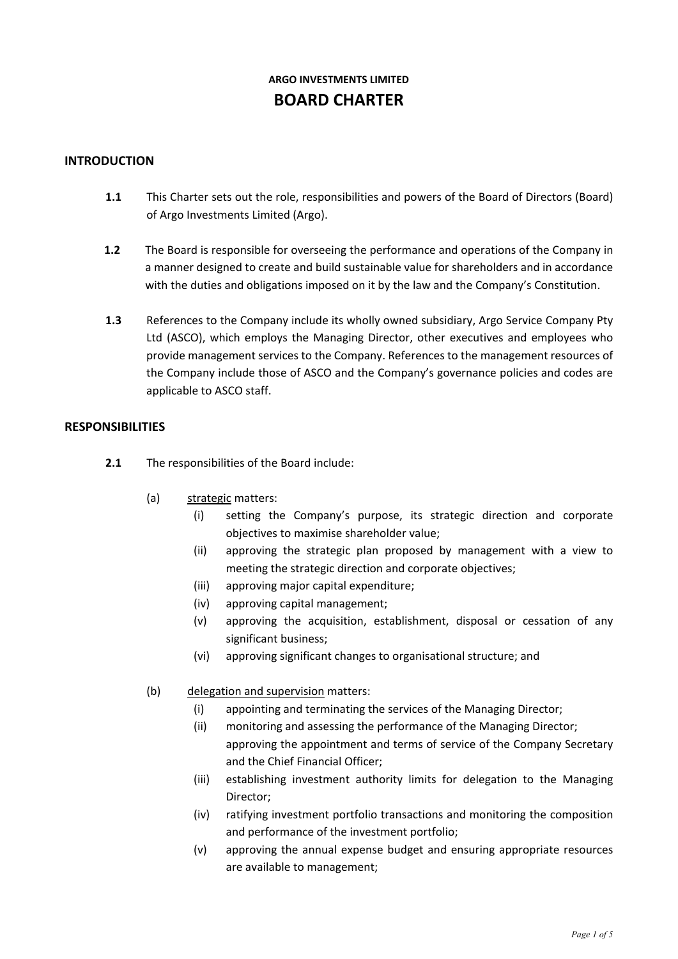# **ARGO INVESTMENTS LIMITED BOARD CHARTER**

#### **INTRODUCTION**

- **1.1** This Charter sets out the role, responsibilities and powers of the Board of Directors (Board) of Argo Investments Limited (Argo).
- **1.2** The Board is responsible for overseeing the performance and operations of the Company in a manner designed to create and build sustainable value for shareholders and in accordance with the duties and obligations imposed on it by the law and the Company's Constitution.
- **1.3** References to the Company include its wholly owned subsidiary, Argo Service Company Pty Ltd (ASCO), which employs the Managing Director, other executives and employees who provide management services to the Company. References to the management resources of the Company include those of ASCO and the Company's governance policies and codes are applicable to ASCO staff.

#### **RESPONSIBILITIES**

- **2.1** The responsibilities of the Board include:
	- (a) strategic matters:
		- (i) setting the Company's purpose, its strategic direction and corporate objectives to maximise shareholder value;
		- (ii) approving the strategic plan proposed by management with a view to meeting the strategic direction and corporate objectives;
		- (iii) approving major capital expenditure;
		- (iv) approving capital management;
		- (v) approving the acquisition, establishment, disposal or cessation of any significant business;
		- (vi) approving significant changes to organisational structure; and
	- (b) delegation and supervision matters:
		- (i) appointing and terminating the services of the Managing Director;
		- (ii) monitoring and assessing the performance of the Managing Director; approving the appointment and terms of service of the Company Secretary and the Chief Financial Officer;
		- (iii) establishing investment authority limits for delegation to the Managing Director;
		- (iv) ratifying investment portfolio transactions and monitoring the composition and performance of the investment portfolio;
		- (v) approving the annual expense budget and ensuring appropriate resources are available to management;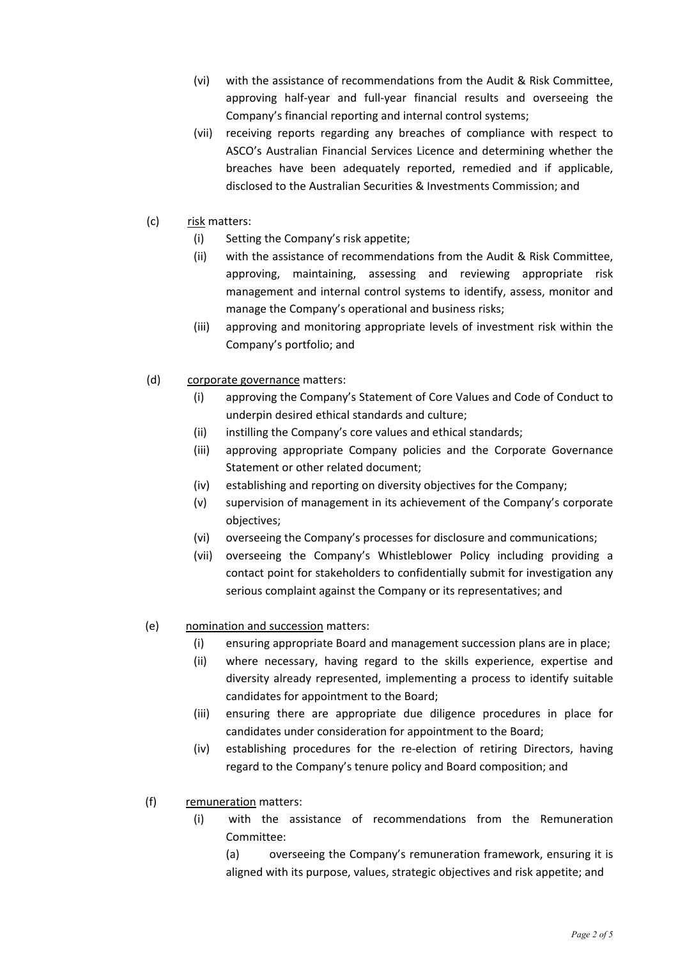- (vi) with the assistance of recommendations from the Audit & Risk Committee, approving half-year and full-year financial results and overseeing the Company's financial reporting and internal control systems;
- (vii) receiving reports regarding any breaches of compliance with respect to ASCO's Australian Financial Services Licence and determining whether the breaches have been adequately reported, remedied and if applicable, disclosed to the Australian Securities & Investments Commission; and
- (c) risk matters:
	- (i) Setting the Company's risk appetite;
	- (ii) with the assistance of recommendations from the Audit & Risk Committee, approving, maintaining, assessing and reviewing appropriate risk management and internal control systems to identify, assess, monitor and manage the Company's operational and business risks;
	- (iii) approving and monitoring appropriate levels of investment risk within the Company's portfolio; and
- (d) corporate governance matters:
	- (i) approving the Company's Statement of Core Values and Code of Conduct to underpin desired ethical standards and culture;
	- (ii) instilling the Company's core values and ethical standards;
	- (iii) approving appropriate Company policies and the Corporate Governance Statement or other related document;
	- (iv) establishing and reporting on diversity objectives for the Company;
	- (v) supervision of management in its achievement of the Company's corporate objectives;
	- (vi) overseeing the Company's processes for disclosure and communications;
	- (vii) overseeing the Company's Whistleblower Policy including providing a contact point for stakeholders to confidentially submit for investigation any serious complaint against the Company or its representatives; and
- (e) nomination and succession matters:
	- (i) ensuring appropriate Board and management succession plans are in place;
	- (ii) where necessary, having regard to the skills experience, expertise and diversity already represented, implementing a process to identify suitable candidates for appointment to the Board;
	- (iii) ensuring there are appropriate due diligence procedures in place for candidates under consideration for appointment to the Board;
	- (iv) establishing procedures for the re-election of retiring Directors, having regard to the Company's tenure policy and Board composition; and
- (f) remuneration matters:
	- (i) with the assistance of recommendations from the Remuneration Committee:
		- (a) overseeing the Company's remuneration framework, ensuring it is aligned with its purpose, values, strategic objectives and risk appetite; and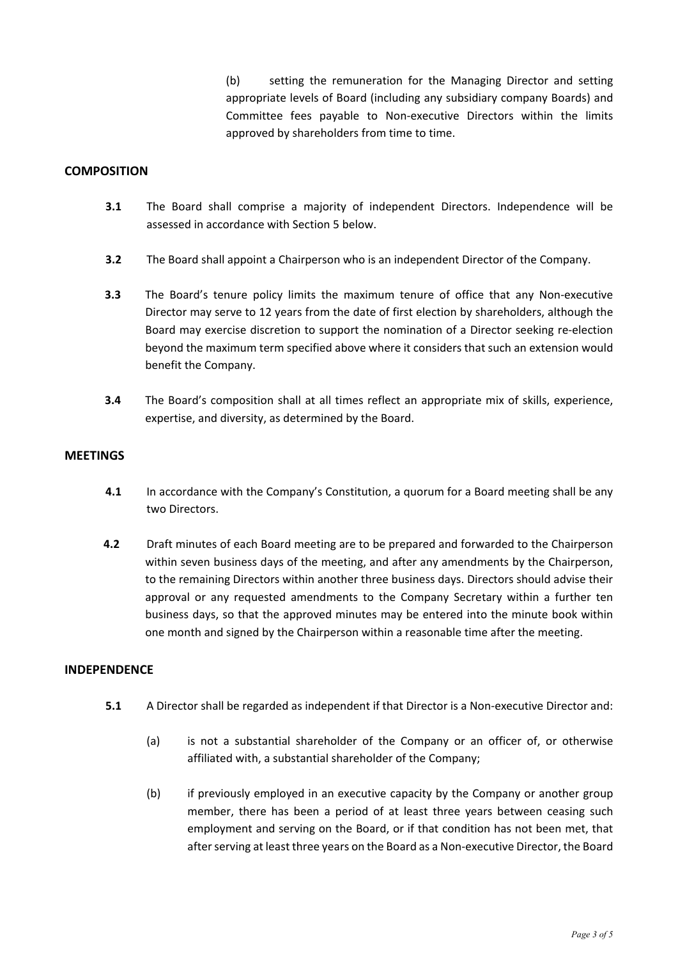(b) setting the remuneration for the Managing Director and setting appropriate levels of Board (including any subsidiary company Boards) and Committee fees payable to Non-executive Directors within the limits approved by shareholders from time to time.

#### **COMPOSITION**

- **3.1** The Board shall comprise a majority of independent Directors. Independence will be assessed in accordance with Section 5 below.
- **3.2** The Board shall appoint a Chairperson who is an independent Director of the Company.
- **3.3** The Board's tenure policy limits the maximum tenure of office that any Non-executive Director may serve to 12 years from the date of first election by shareholders, although the Board may exercise discretion to support the nomination of a Director seeking re-election beyond the maximum term specified above where it considers that such an extension would benefit the Company.
- **3.4** The Board's composition shall at all times reflect an appropriate mix of skills, experience, expertise, and diversity, as determined by the Board.

#### **MEETINGS**

- **4.1** In accordance with the Company's Constitution, a quorum for a Board meeting shall be any two Directors.
- **4.2** Draft minutes of each Board meeting are to be prepared and forwarded to the Chairperson within seven business days of the meeting, and after any amendments by the Chairperson, to the remaining Directors within another three business days. Directors should advise their approval or any requested amendments to the Company Secretary within a further ten business days, so that the approved minutes may be entered into the minute book within one month and signed by the Chairperson within a reasonable time after the meeting.

#### **INDEPENDENCE**

- **5.1** A Director shall be regarded as independent if that Director is a Non-executive Director and:
	- (a) is not a substantial shareholder of the Company or an officer of, or otherwise affiliated with, a substantial shareholder of the Company;
	- (b) if previously employed in an executive capacity by the Company or another group member, there has been a period of at least three years between ceasing such employment and serving on the Board, or if that condition has not been met, that after serving at least three years on the Board as a Non-executive Director, the Board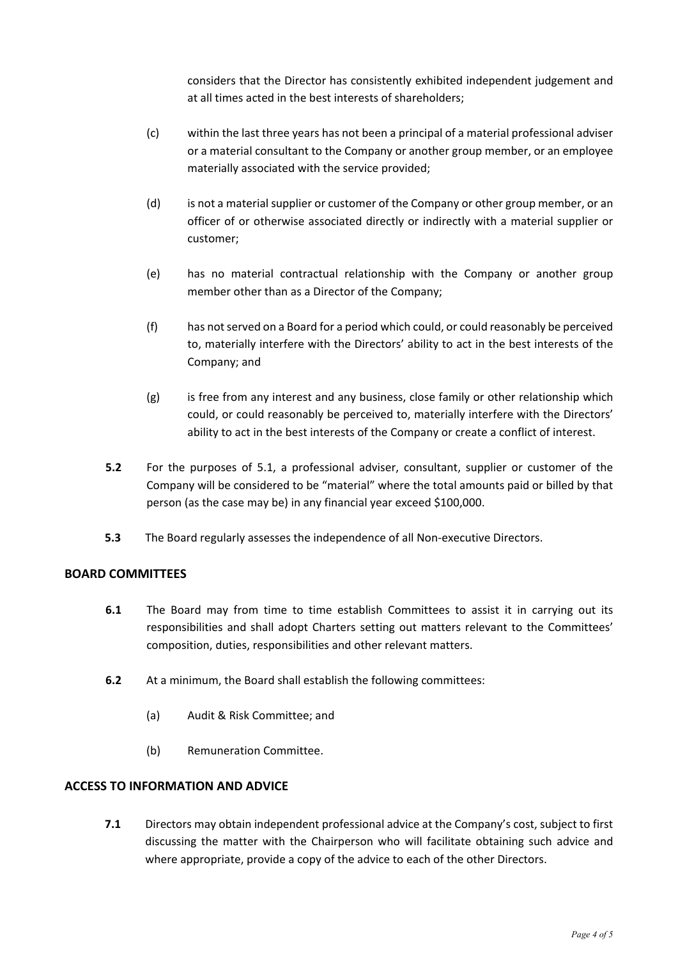considers that the Director has consistently exhibited independent judgement and at all times acted in the best interests of shareholders;

- (c) within the last three years has not been a principal of a material professional adviser or a material consultant to the Company or another group member, or an employee materially associated with the service provided;
- (d) is not a material supplier or customer of the Company or other group member, or an officer of or otherwise associated directly or indirectly with a material supplier or customer;
- (e) has no material contractual relationship with the Company or another group member other than as a Director of the Company;
- (f) has not served on a Board for a period which could, or could reasonably be perceived to, materially interfere with the Directors' ability to act in the best interests of the Company; and
- (g) is free from any interest and any business, close family or other relationship which could, or could reasonably be perceived to, materially interfere with the Directors' ability to act in the best interests of the Company or create a conflict of interest.
- **5.2** For the purposes of 5.1, a professional adviser, consultant, supplier or customer of the Company will be considered to be "material" where the total amounts paid or billed by that person (as the case may be) in any financial year exceed \$100,000.
- **5.3** The Board regularly assesses the independence of all Non-executive Directors.

## **BOARD COMMITTEES**

- **6.1** The Board may from time to time establish Committees to assist it in carrying out its responsibilities and shall adopt Charters setting out matters relevant to the Committees' composition, duties, responsibilities and other relevant matters.
- **6.2** At a minimum, the Board shall establish the following committees:
	- (a) Audit & Risk Committee; and
	- (b) Remuneration Committee.

#### **ACCESS TO INFORMATION AND ADVICE**

**7.1** Directors may obtain independent professional advice at the Company's cost, subject to first discussing the matter with the Chairperson who will facilitate obtaining such advice and where appropriate, provide a copy of the advice to each of the other Directors.